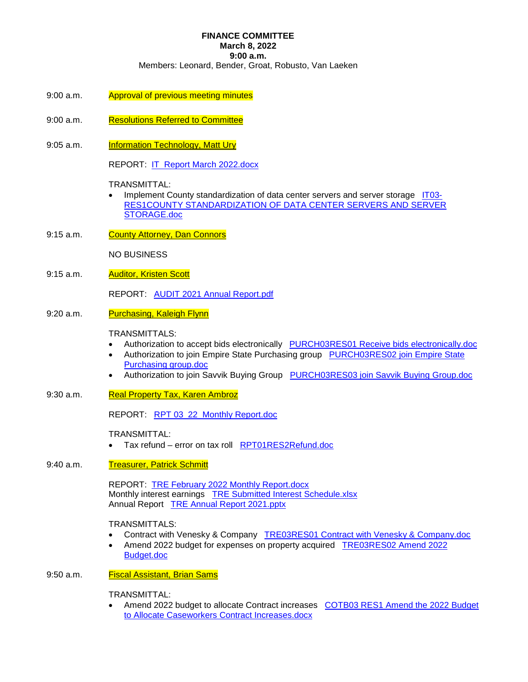# **FINANCE COMMITTEE**

**March 8, 2022** 

**9:00 a.m.** 

Members: Leonard, Bender, Groat, Robusto, Van Laeken

- 9:00 a.m. Approval of previous meeting minutes
- 9:00 a.m. Resolutions Referred to Committee
- 9:05 a.m. **Information Technology, Matt Ury**

REPORT: **IT Report March 2022.docx** 

TRANSMITTAL:

- Implement County standardization of data center servers and server storage IT03-RES1COUNTY STANDARDIZATION OF DATA CENTER SERVERS AND SERVER STORAGE.doc
- 9:15 a.m. County Attorney, Dan Connors

NO BUSINESS

9:15 a.m. **Auditor, Kristen Scott** 

REPORT: AUDIT 2021 Annual Report.pdf

9:20 a.m. Purchasing, Kaleigh Flynn

# TRANSMITTALS:

- Authorization to accept bids electronically PURCH03RES01 Receive bids electronically.doc
- Authorization to join Empire State Purchasing group PURCH03RES02 join Empire State Purchasing group.doc
- Authorization to join Savvik Buying Group PURCH03RES03 join Savvik Buying Group.doc
- 9:30 a.m. Real Property Tax, Karen Ambroz

REPORT: RPT 03\_22\_Monthly Report.doc

TRANSMITTAL:

- Tax refund error on tax roll RPT01RES2Refund.doc
- 9:40 a.m. Treasurer, Patrick Schmitt

REPORT: TRE February 2022 Monthly Report.docx Monthly interest earnings TRE Submitted Interest Schedule.xlsx Annual Report TRE Annual Report 2021.pptx

# TRANSMITTALS:

- Contract with Venesky & Company TRE03RES01 Contract with Venesky & Company.doc
- Amend 2022 budget for expenses on property acquired TRE03RES02 Amend 2022 Budget.doc

# 9:50 a.m. **Fiscal Assistant, Brian Sams**

TRANSMITTAL:

 Amend 2022 budget to allocate Contract increases COTB03 RES1 Amend the 2022 Budget to Allocate Caseworkers Contract Increases.docx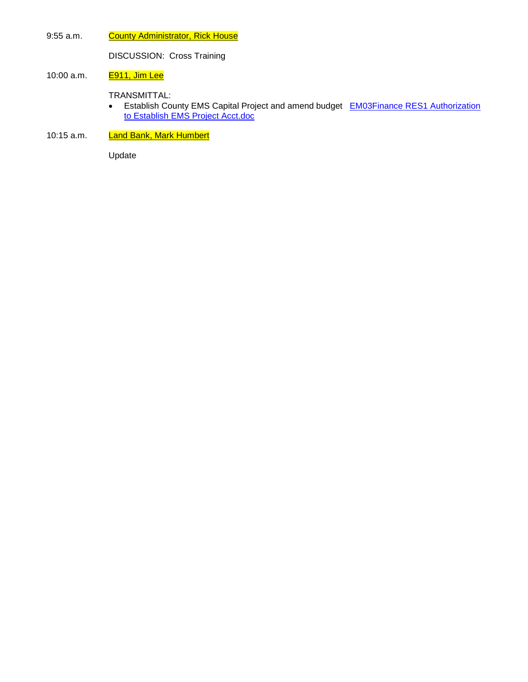9:55 a.m. County Administrator, Rick House

DISCUSSION: Cross Training

## 10:00 a.m. **E911, Jim Lee**

TRANSMITTAL:

- Establish County EMS Capital Project and amend budget **EM03Finance RES1** Authorization to Establish EMS Project Acct.doc
- 10:15 a.m. Land Bank, Mark Humbert

Update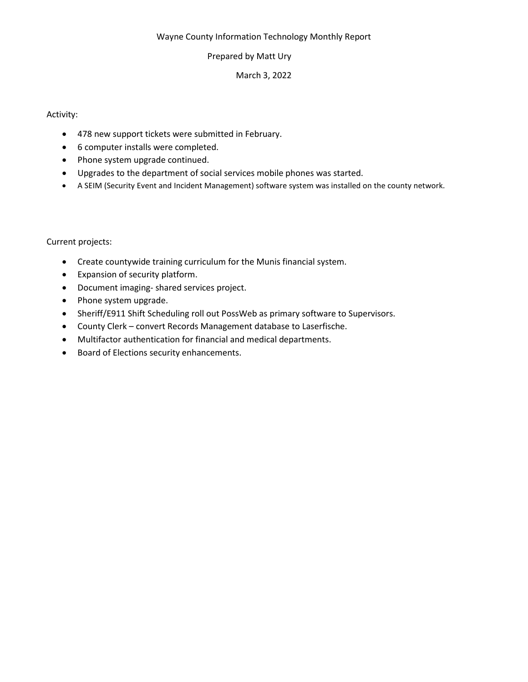# Wayne County Information Technology Monthly Report

# Prepared by Matt Ury

# March 3, 2022

# Activity:

- 478 new support tickets were submitted in February.
- 6 computer installs were completed.
- Phone system upgrade continued.
- Upgrades to the department of social services mobile phones was started.
- A SEIM (Security Event and Incident Management) software system was installed on the county network.

# Current projects:

- Create countywide training curriculum for the Munis financial system.
- Expansion of security platform.
- Document imaging- shared services project.
- Phone system upgrade.
- Sheriff/E911 Shift Scheduling roll out PossWeb as primary software to Supervisors.
- County Clerk convert Records Management database to Laserfische.
- Multifactor authentication for financial and medical departments.
- Board of Elections security enhancements.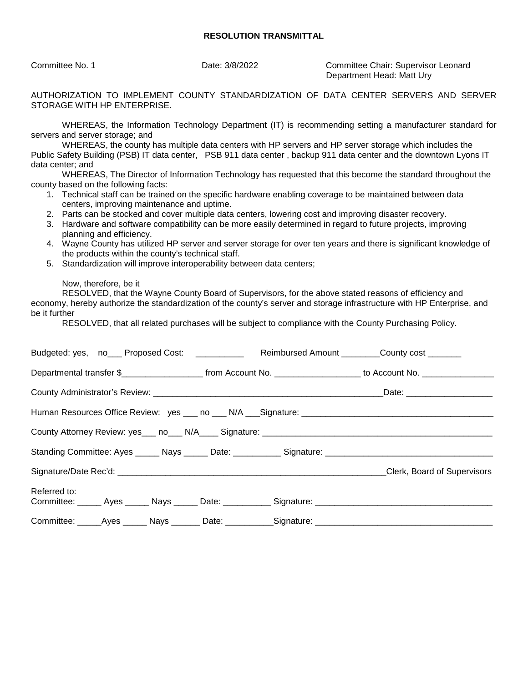Committee No. 1 Date: 3/8/2022 Committee Chair: Supervisor Leonard Department Head: Matt Ury

AUTHORIZATION TO IMPLEMENT COUNTY STANDARDIZATION OF DATA CENTER SERVERS AND SERVER STORAGE WITH HP ENTERPRISE.

WHEREAS, the Information Technology Department (IT) is recommending setting a manufacturer standard for servers and server storage; and

WHEREAS, the county has multiple data centers with HP servers and HP server storage which includes the Public Safety Building (PSB) IT data center, PSB 911 data center , backup 911 data center and the downtown Lyons IT data center; and

WHEREAS, The Director of Information Technology has requested that this become the standard throughout the county based on the following facts:

- 1. Technical staff can be trained on the specific hardware enabling coverage to be maintained between data centers, improving maintenance and uptime.
- 2. Parts can be stocked and cover multiple data centers, lowering cost and improving disaster recovery.
- 3. Hardware and software compatibility can be more easily determined in regard to future projects, improving planning and efficiency.
- 4. Wayne County has utilized HP server and server storage for over ten years and there is significant knowledge of the products within the county's technical staff.
- 5. Standardization will improve interoperability between data centers;

Now, therefore, be it

RESOLVED, that the Wayne County Board of Supervisors, for the above stated reasons of efficiency and economy, hereby authorize the standardization of the county's server and storage infrastructure with HP Enterprise, and be it further

RESOLVED, that all related purchases will be subject to compliance with the County Purchasing Policy.

| Budgeted: yes, no___ Proposed Cost: __________ Reimbursed Amount _______County cost ______                                              |  |
|-----------------------------------------------------------------------------------------------------------------------------------------|--|
| Departmental transfer \$________________________________from Account No. ____________________________ to Account No. __________________ |  |
|                                                                                                                                         |  |
|                                                                                                                                         |  |
|                                                                                                                                         |  |
|                                                                                                                                         |  |
|                                                                                                                                         |  |
| Referred to:                                                                                                                            |  |
| Committee: _____Ayes ______ Nays _______ Date: ___________Signature: _______________________________                                    |  |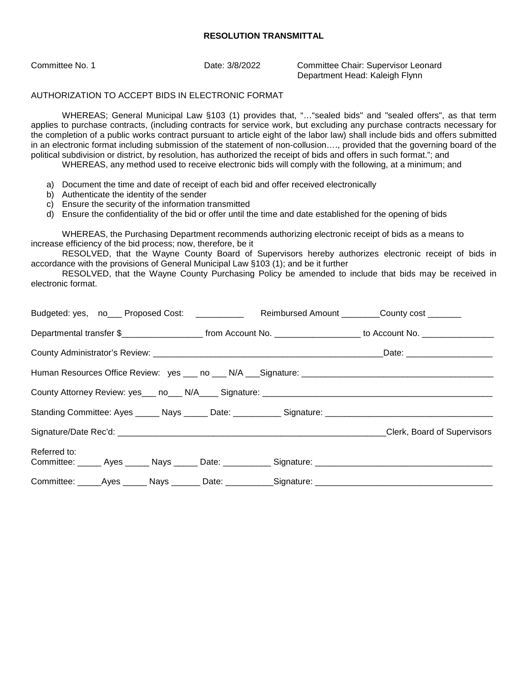Committee No. 1 Date: 3/8/2022 Committee Chair: Supervisor Leonard Department Head: Kaleigh Flynn

## AUTHORIZATION TO ACCEPT BIDS IN ELECTRONIC FORMAT

WHEREAS; General Municipal Law §103 (1) provides that, "…"sealed bids" and "sealed offers", as that term applies to purchase contracts, (including contracts for service work, but excluding any purchase contracts necessary for the completion of a public works contract pursuant to article eight of the labor law) shall include bids and offers submitted in an electronic format including submission of the statement of non-collusion…., provided that the governing board of the political subdivision or district, by resolution, has authorized the receipt of bids and offers in such format."; and

WHEREAS, any method used to receive electronic bids will comply with the following, at a minimum; and

- a) Document the time and date of receipt of each bid and offer received electronically
- b) Authenticate the identity of the sender
- c) Ensure the security of the information transmitted
- d) Ensure the confidentiality of the bid or offer until the time and date established for the opening of bids

WHEREAS, the Purchasing Department recommends authorizing electronic receipt of bids as a means to increase efficiency of the bid process; now, therefore, be it

RESOLVED, that the Wayne County Board of Supervisors hereby authorizes electronic receipt of bids in accordance with the provisions of General Municipal Law §103 (1); and be it further

RESOLVED, that the Wayne County Purchasing Policy be amended to include that bids may be received in electronic format.

| Budgeted: yes, no___ Proposed Cost: ___________ Reimbursed Amount _______County cost ______                                             |  |
|-----------------------------------------------------------------------------------------------------------------------------------------|--|
| Departmental transfer \$________________________________from Account No. ____________________________ to Account No. __________________ |  |
|                                                                                                                                         |  |
|                                                                                                                                         |  |
|                                                                                                                                         |  |
|                                                                                                                                         |  |
| Signature/Date Rec'd: Clerk, Board of Supervisors                                                                                       |  |
| Referred to:                                                                                                                            |  |
| Committee: ______Ayes _______ Nays ________ Date: ___________Signature: ____________________________                                    |  |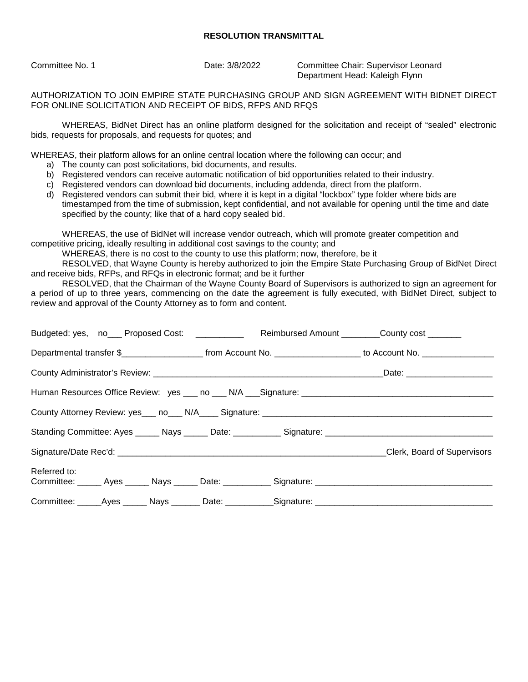Committee No. 1 Date: 3/8/2022 Committee Chair: Supervisor Leonard Department Head: Kaleigh Flynn

AUTHORIZATION TO JOIN EMPIRE STATE PURCHASING GROUP AND SIGN AGREEMENT WITH BIDNET DIRECT FOR ONLINE SOLICITATION AND RECEIPT OF BIDS, RFPS AND RFQS

WHEREAS, BidNet Direct has an online platform designed for the solicitation and receipt of "sealed" electronic bids, requests for proposals, and requests for quotes; and

WHEREAS, their platform allows for an online central location where the following can occur; and

- a) The county can post solicitations, bid documents, and results.
- b) Registered vendors can receive automatic notification of bid opportunities related to their industry.
- c) Registered vendors can download bid documents, including addenda, direct from the platform.
- d) Registered vendors can submit their bid, where it is kept in a digital "lockbox" type folder where bids are timestamped from the time of submission, kept confidential, and not available for opening until the time and date specified by the county; like that of a hard copy sealed bid.

WHEREAS, the use of BidNet will increase vendor outreach, which will promote greater competition and competitive pricing, ideally resulting in additional cost savings to the county; and

WHEREAS, there is no cost to the county to use this platform; now, therefore, be it

RESOLVED, that Wayne County is hereby authorized to join the Empire State Purchasing Group of BidNet Direct and receive bids, RFPs, and RFQs in electronic format; and be it further

RESOLVED, that the Chairman of the Wayne County Board of Supervisors is authorized to sign an agreement for a period of up to three years, commencing on the date the agreement is fully executed, with BidNet Direct, subject to review and approval of the County Attorney as to form and content.

| Budgeted: yes, no___ Proposed Cost: __________ Reimbursed Amount _______County cost ______                    |                             |
|---------------------------------------------------------------------------------------------------------------|-----------------------------|
|                                                                                                               |                             |
|                                                                                                               |                             |
|                                                                                                               |                             |
|                                                                                                               |                             |
| Standing Committee: Ayes ______ Nays ______ Date: ____________ Signature: ___________________________________ |                             |
|                                                                                                               | Clerk, Board of Supervisors |
| Referred to:                                                                                                  |                             |
| Committee: ______Ayes _______ Nays ________Date: ___________Signature: _____________________________          |                             |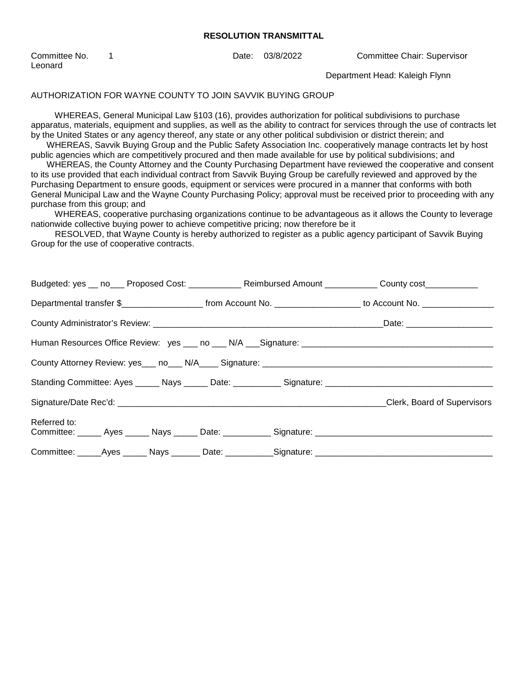| Committee No. |  |
|---------------|--|
| Leonard       |  |

1 Date: 03/8/2022 Committee Chair: Supervisor

Department Head: Kaleigh Flynn

#### AUTHORIZATION FOR WAYNE COUNTY TO JOIN SAVVIK BUYING GROUP

 WHEREAS, General Municipal Law §103 (16), provides authorization for political subdivisions to purchase apparatus, materials, equipment and supplies, as well as the ability to contract for services through the use of contracts let by the United States or any agency thereof, any state or any other political subdivision or district therein; and

 WHEREAS, Savvik Buying Group and the Public Safety Association Inc. cooperatively manage contracts let by host public agencies which are competitively procured and then made available for use by political subdivisions; and

 WHEREAS, the County Attorney and the County Purchasing Department have reviewed the cooperative and consent to its use provided that each individual contract from Savvik Buying Group be carefully reviewed and approved by the Purchasing Department to ensure goods, equipment or services were procured in a manner that conforms with both General Municipal Law and the Wayne County Purchasing Policy; approval must be received prior to proceeding with any purchase from this group; and

 WHEREAS, cooperative purchasing organizations continue to be advantageous as it allows the County to leverage nationwide collective buying power to achieve competitive pricing; now therefore be it

 RESOLVED, that Wayne County is hereby authorized to register as a public agency participant of Savvik Buying Group for the use of cooperative contracts.

| Budgeted: yes __ no___ Proposed Cost: ____________ Reimbursed Amount ___________ County cost___________                                  |  |  |
|------------------------------------------------------------------------------------------------------------------------------------------|--|--|
| Departmental transfer \$________________________________from Account No. ____________________________ to Account No. ___________________ |  |  |
|                                                                                                                                          |  |  |
| Human Resources Office Review: yes ___ no ___ N/A ___ Signature: ___________________________________                                     |  |  |
|                                                                                                                                          |  |  |
|                                                                                                                                          |  |  |
|                                                                                                                                          |  |  |
| Referred to:<br>Committee: ______ Ayes ______ Nays ______ Date: ___________ Signature: _____________________________                     |  |  |
| Committee: _____Ayes ______ Nays _______ Date: ___________Signature: ______________________________                                      |  |  |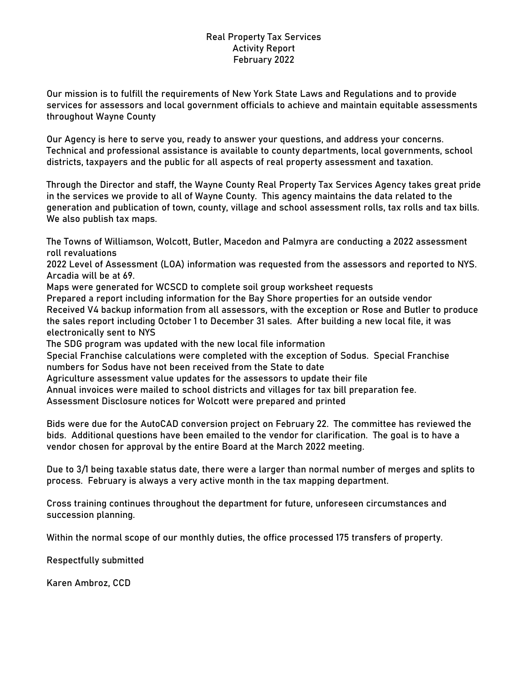# Real Property Tax Services Activity Report February 2022

Our mission is to fulfill the requirements of New York State Laws and Regulations and to provide services for assessors and local government officials to achieve and maintain equitable assessments throughout Wayne County

Our Agency is here to serve you, ready to answer your questions, and address your concerns. Technical and professional assistance is available to county departments, local governments, school districts, taxpayers and the public for all aspects of real property assessment and taxation.

Through the Director and staff, the Wayne County Real Property Tax Services Agency takes great pride in the services we provide to all of Wayne County. This agency maintains the data related to the generation and publication of town, county, village and school assessment rolls, tax rolls and tax bills. We also publish tax maps.

The Towns of Williamson, Wolcott, Butler, Macedon and Palmyra are conducting a 2022 assessment roll revaluations

2022 Level of Assessment (LOA) information was requested from the assessors and reported to NYS. Arcadia will be at 69.

Maps were generated for WCSCD to complete soil group worksheet requests

Prepared a report including information for the Bay Shore properties for an outside vendor Received V4 backup information from all assessors, with the exception or Rose and Butler to produce the sales report including October 1 to December 31 sales. After building a new local file, it was electronically sent to NYS

The SDG program was updated with the new local file information

Special Franchise calculations were completed with the exception of Sodus. Special Franchise numbers for Sodus have not been received from the State to date

Agriculture assessment value updates for the assessors to update their file

Annual invoices were mailed to school districts and villages for tax bill preparation fee.

Assessment Disclosure notices for Wolcott were prepared and printed

Bids were due for the AutoCAD conversion project on February 22. The committee has reviewed the bids. Additional questions have been emailed to the vendor for clarification. The goal is to have a vendor chosen for approval by the entire Board at the March 2022 meeting.

Due to 3/1 being taxable status date, there were a larger than normal number of merges and splits to process. February is always a very active month in the tax mapping department.

Cross training continues throughout the department for future, unforeseen circumstances and succession planning.

Within the normal scope of our monthly duties, the office processed 175 transfers of property.

Respectfully submitted

Karen Ambroz, CCD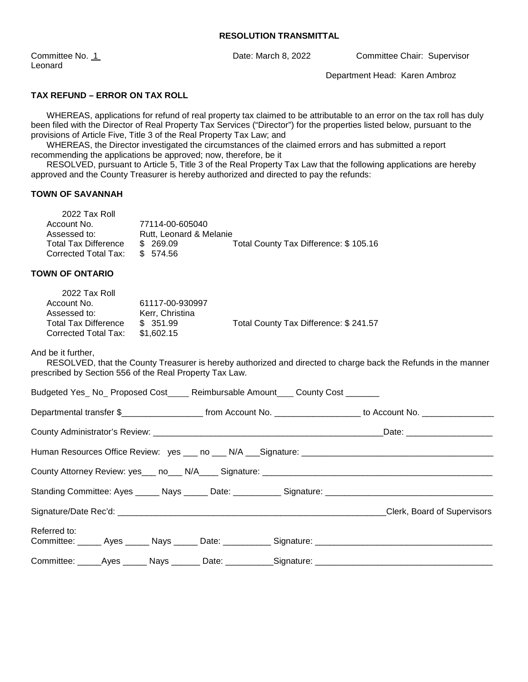Leonard

Committee No. 1 Date: March 8, 2022 Committee Chair: Supervisor

Department Head: Karen Ambroz

# **TAX REFUND – ERROR ON TAX ROLL**

 WHEREAS, applications for refund of real property tax claimed to be attributable to an error on the tax roll has duly been filed with the Director of Real Property Tax Services ("Director") for the properties listed below, pursuant to the provisions of Article Five, Title 3 of the Real Property Tax Law; and

 WHEREAS, the Director investigated the circumstances of the claimed errors and has submitted a report recommending the applications be approved; now, therefore, be it

 RESOLVED, pursuant to Article 5, Title 3 of the Real Property Tax Law that the following applications are hereby approved and the County Treasurer is hereby authorized and directed to pay the refunds:

# **TOWN OF SAVANNAH**

 $2022 - 5$ 

| 2022 Tax Roll               |                         |                                       |
|-----------------------------|-------------------------|---------------------------------------|
| Account No.                 | 77114-00-605040         |                                       |
| Assessed to:                | Rutt. Leonard & Melanie |                                       |
| <b>Total Tax Difference</b> | \$ 269.09               | Total County Tax Difference: \$105.16 |
| Corrected Total Tax:        | \$574.56                |                                       |
|                             |                         |                                       |

#### **TOWN OF ONTARIO**

| 2022 Tax Roll               |                 |                                       |
|-----------------------------|-----------------|---------------------------------------|
| Account No.                 | 61117-00-930997 |                                       |
| Assessed to:                | Kerr, Christina |                                       |
| <b>Total Tax Difference</b> | \$351.99        | Total County Tax Difference: \$241.57 |
| Corrected Total Tax:        | \$1.602.15      |                                       |

And be it further,

 RESOLVED, that the County Treasurer is hereby authorized and directed to charge back the Refunds in the manner prescribed by Section 556 of the Real Property Tax Law.

| Budgeted Yes_No_Proposed Cost____Reimbursable Amount____County Cost _______ |  |                                                                                                                   |
|-----------------------------------------------------------------------------|--|-------------------------------------------------------------------------------------------------------------------|
|                                                                             |  | Departmental transfer \$_______________________ from Account No. ____________________ to Account No. ____________ |
|                                                                             |  |                                                                                                                   |
|                                                                             |  |                                                                                                                   |
|                                                                             |  |                                                                                                                   |
|                                                                             |  |                                                                                                                   |
|                                                                             |  | Clerk, Board of Supervisors                                                                                       |
| Referred to:                                                                |  |                                                                                                                   |
|                                                                             |  |                                                                                                                   |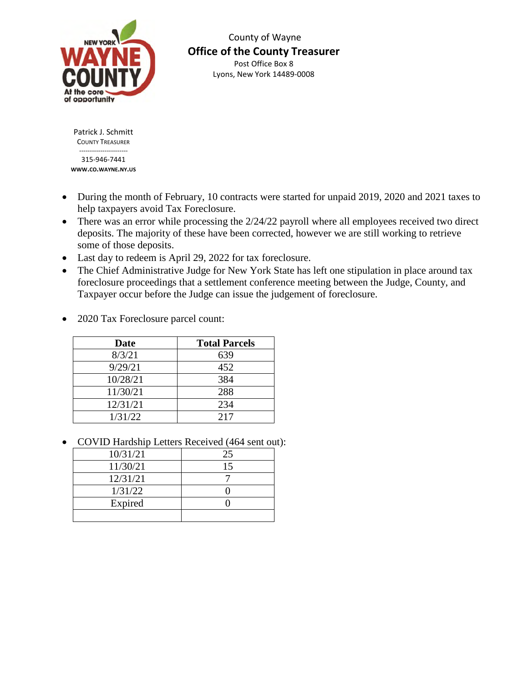

 County of Wayne **Office of the County Treasurer**  Post Office Box 8 Lyons, New York 14489-0008

Patrick J. Schmitt COUNTY TREASURER -----------------------

315-946-7441 **WWW.CO.WAYNE.NY.US**

- During the month of February, 10 contracts were started for unpaid 2019, 2020 and 2021 taxes to help taxpayers avoid Tax Foreclosure.
- There was an error while processing the 2/24/22 payroll where all employees received two direct deposits. The majority of these have been corrected, however we are still working to retrieve some of those deposits.
- Last day to redeem is April 29, 2022 for tax foreclosure.
- The Chief Administrative Judge for New York State has left one stipulation in place around tax foreclosure proceedings that a settlement conference meeting between the Judge, County, and Taxpayer occur before the Judge can issue the judgement of foreclosure.
- 2020 Tax Foreclosure parcel count:

| Date     | <b>Total Parcels</b> |
|----------|----------------------|
| 8/3/21   | 639                  |
| 9/29/21  | 452                  |
| 10/28/21 | 384                  |
| 11/30/21 | 288                  |
| 12/31/21 | 234                  |
| 1/31/22  | 2.17                 |

• COVID Hardship Letters Received (464 sent out):

| 10/31/21 | 25 |
|----------|----|
| 11/30/21 | 15 |
| 12/31/21 |    |
| 1/31/22  |    |
| Expired  |    |
|          |    |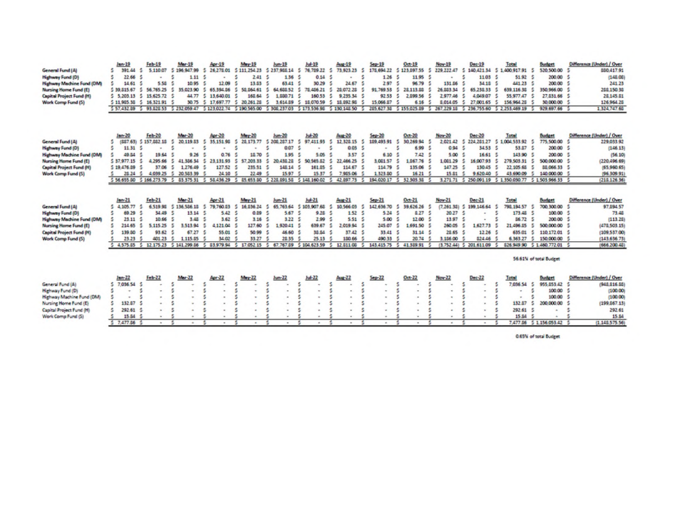|                                                                                                                                      | $len-19$                                                                  | $Fth - 19$                                                     | Mar-19                                                                | Apr-19                                                       | $Mny-15$                                                    | $lum-19$                                                             | $Juf-19$                                                                                    | Aug-19                                                                      | $5ep-19$                                                            | Oct-19                                                                                                                        | Nov-19                                                                         | Dec-19                                             | Total                                                                                                                                                                    | <b>Burdget</b>                                                                  | Difference (Under) / Over                                                                     |
|--------------------------------------------------------------------------------------------------------------------------------------|---------------------------------------------------------------------------|----------------------------------------------------------------|-----------------------------------------------------------------------|--------------------------------------------------------------|-------------------------------------------------------------|----------------------------------------------------------------------|---------------------------------------------------------------------------------------------|-----------------------------------------------------------------------------|---------------------------------------------------------------------|-------------------------------------------------------------------------------------------------------------------------------|--------------------------------------------------------------------------------|----------------------------------------------------|--------------------------------------------------------------------------------------------------------------------------------------------------------------------------|---------------------------------------------------------------------------------|-----------------------------------------------------------------------------------------------|
| <b>General Fund (A)</b>                                                                                                              | 391.44                                                                    | 5.110.07                                                       | 5 196,947.99                                                          | 26.275.01                                                    | 5 111 254 23                                                | \$237,965.14                                                         | 76,729.22<br>5                                                                              | 73, 923.23<br>s                                                             | 175,694.22                                                          | \$123,897.55                                                                                                                  | 229, 222, 47<br>-5                                                             | 140.421.34                                         | 5 1.400.917.91 5                                                                                                                                                         | 520,500.00                                                                      | 880,417.91                                                                                    |
| Highway Fund (D)                                                                                                                     | 22.66 \$                                                                  |                                                                | 1.11                                                                  |                                                              | 2.41                                                        | 136                                                                  | 0.14                                                                                        |                                                                             | 1.26                                                                | s<br>11.95                                                                                                                    |                                                                                | 11.03                                              | 51.92                                                                                                                                                                    | 200.00                                                                          | (145.06)                                                                                      |
| <b>Highway Machine Fund (DM)</b>                                                                                                     | 14.61                                                                     | 5.58                                                           | 10.95                                                                 | 12.09                                                        | 13.53                                                       | 63.41                                                                | 30.29                                                                                       | 24.67                                                                       | 2.97                                                                | 96.79                                                                                                                         | 131.86                                                                         | 34.18                                              | 441.23                                                                                                                                                                   | 200.00                                                                          | 241.23                                                                                        |
| Nursing Home Fund (E)                                                                                                                | 5 39, 815, 67                                                             | 56.765.25                                                      | 5<br>35,023,90                                                        | 65 394 56                                                    | s<br>55, 564.61                                             | s<br>64, 688, 52                                                     | 5.<br>78,486.21                                                                             | 28.072.28<br>s                                                              | 91,769.53                                                           | 5<br>28.113.88                                                                                                                | 26.883.34                                                                      | 65,238.33                                          | 639, 116, 38                                                                                                                                                             | 350,966.00                                                                      | 288,150.38                                                                                    |
| <b>Capital Project Fund (H)</b>                                                                                                      | 5 5.203.13                                                                | 15,625.72 \$                                                   | 44.77                                                                 | s<br>13,540.01                                               | 163.64                                                      | s<br>1.550.71                                                        | 160.53                                                                                      | s<br>9,235.34                                                               | 92 53                                                               | 5<br>2.099.56                                                                                                                 | 2,977.46                                                                       | 404907<br>5                                        | 55.977.47                                                                                                                                                                | 27.831.66                                                                       | 28.145.81                                                                                     |
| Work Comp Fund (5)                                                                                                                   | 5 11.905.38                                                               | 5 16 321 91                                                    | 30.75                                                                 | 5 17,697.77                                                  | 5 20 261 28                                                 | 5<br>3,614.09                                                        | \$18,070.59                                                                                 | -5<br>15, 092.95                                                            | 15,066.87                                                           | 6.16<br>5                                                                                                                     | 8.014.05                                                                       | 27.001.65<br>5                                     | 156,964.20                                                                                                                                                               | 30,000.00                                                                       | 126,964.28                                                                                    |
|                                                                                                                                      |                                                                           |                                                                |                                                                       |                                                              |                                                             |                                                                      |                                                                                             |                                                                             |                                                                     |                                                                                                                               |                                                                                |                                                    | 5 57.432.09 5 93.020.53 5 232.059.47 5 123.022.74 5 190.565.00 5 300.237.03 5 173.536.90 5 130.148.50 5 265.627.30 5 155.025.89 5 267.229.18 5 236.755.60 5 2.253.469.19 | 929.697.66 \$                                                                   | 1,324,747.60                                                                                  |
| General Fund (A)<br>Highway Fund (D)<br><b>Highway Machine Fund (DM)</b><br>Nursing Home Fund (E)<br><b>Capital Project Fund (H)</b> | $len-20$<br>s<br>11.31 <sub>5</sub><br>49.54<br>537,977.15<br>5 19.476.89 | Feb-20<br>(887.63) \$ 157,882 16<br>19.64<br>4.295.66<br>37.06 | <b>Mar-20</b><br>20,119.53<br>$\sim$<br>9.26<br>41,386.34<br>1,276.49 | Apr-20<br>35 151 98<br>s<br>0.76<br>23.131.93<br>5<br>127.52 | May-20<br>28.173.77<br>s<br>18.70<br>5 57, 203.33<br>235.91 | $Jum-20$<br>\$206,267.17<br>0.07<br>1.95<br>20,435.25<br>s<br>145.14 | $Juf-20$<br>97,411.95<br>s<br>s<br>$\blacksquare$<br>5.05<br>-5<br>50 565 82<br>161.25<br>5 | Aug-20<br>12 328 15<br>S.<br>0.03<br>s<br>3.57<br>s.<br>22,466.25<br>114.67 | $Sep-20$<br>189,493.91<br>s<br>$\sim$<br>6.10<br>1.021.57<br>114.79 | $Oct-20$<br>30.269.94<br><b>S</b><br>5<br>6.99<br>7.42<br>1.067.76<br>s<br>135.06                                             | Nov-20<br>202142 \$<br>-5<br><b>S</b><br>0.94<br>\$00<br>1.081.29 \$<br>147.25 | Dec 20<br>34.53 \$<br>16.61<br>16,007.93<br>130.45 | Total<br>224 281 27 5 1 004 533 92 5<br>53.87 \$<br>143.90<br>279.503.31<br>22,105.65                                                                                    | <b>Budget</b><br>775,500.00<br>200.00<br>200.00<br>5<br>500,000.00<br>88.066.33 | Difference (Under) / Over<br>229.033.92<br>(146.13)<br>(56.10)<br>(220.496.69)<br>(65,960.65) |
| Work Camp Fund (5)                                                                                                                   | 28.24 \$                                                                  |                                                                | 4.039.25 5 20.583.39                                                  | 24.10                                                        | 22.49                                                       | 15.97                                                                | 5<br>15.37                                                                                  | 7,965.06<br>s                                                               | 1.323.80                                                            | 16.21 \$                                                                                                                      | 15.81                                                                          | 9 620 40<br>-5                                     | s<br>43,690.09                                                                                                                                                           | 5<br>140,000.00                                                                 | (96.309.91)                                                                                   |
|                                                                                                                                      |                                                                           |                                                                |                                                                       |                                                              |                                                             |                                                                      |                                                                                             |                                                                             |                                                                     | 5 56:655:00 5 166.273.79 5 83.375.31 5 58.436.29 5 85.653.00 5 228.891.58 5 148.160.02 5 42.897.73 5 194.020.17 5 32.303.38 5 |                                                                                |                                                    |                                                                                                                                                                          | 3.271.71 \$ 250.091.19 \$ 1.350.030.77 \$ 1.503.966.33 \$                       | (218.126.36)                                                                                  |
|                                                                                                                                      |                                                                           |                                                                |                                                                       |                                                              |                                                             |                                                                      |                                                                                             |                                                                             |                                                                     |                                                                                                                               |                                                                                |                                                    |                                                                                                                                                                          |                                                                                 |                                                                                               |
|                                                                                                                                      | $len-21$<br>4,105.77 \$                                                   | $Fcb$ <sub>21</sub><br>6.519.95                                | Mar-21<br>5 136,586.18                                                | $A0 + 21$<br>79.760.03<br>5                                  | May 21<br>s<br>16.836.24                                    | $lum-21$<br>65.763.64<br>舌                                           | $10 - 21$<br>5 103 907 68                                                                   | Aug-21<br>10,566.03<br>5                                                    | $5ep-21$<br>142,636.70                                              | $0ct - 21$<br>39.626.26                                                                                                       | Nov-21<br>-5                                                                   | $Dec-21$                                           | Total<br>798.194.57                                                                                                                                                      | <b>Budget</b><br>5<br>700,300.00                                                | Difference (Under) / Over                                                                     |
| General Fund (A)                                                                                                                     | s<br>69.29                                                                | 34.49                                                          | 13.14                                                                 | 5.42                                                         | 0.89                                                        | 5.67                                                                 |                                                                                             |                                                                             |                                                                     | s<br>ŝ<br>8.27                                                                                                                | $(7.261.30)$ 5<br>20.27                                                        | 199,146.64                                         |                                                                                                                                                                          | 5<br>100.00 \$                                                                  | 97.094.57                                                                                     |
| <b>Highway Fund (D)</b>                                                                                                              | 25.11                                                                     | 10.66                                                          | 3.48                                                                  | 3.62                                                         | 3.16                                                        | 3.22                                                                 | 9.28<br>2.99<br>-5                                                                          | 1.52<br>5.51 <sup>5</sup><br><b>S</b>                                       | 5.24<br>5.00                                                        | 12.005                                                                                                                        | -5<br>11.97                                                                    |                                                    | 173.45<br>86.72                                                                                                                                                          | 200.00<br>大                                                                     | 73.46                                                                                         |
| <b>Highway Machine Fund (DM)</b>                                                                                                     | 214.65                                                                    |                                                                | 3,513.94                                                              | 4.121.04                                                     |                                                             |                                                                      |                                                                                             | 2.019.94<br>s                                                               |                                                                     |                                                                                                                               |                                                                                | 1,627.73                                           | 21.496.05                                                                                                                                                                | 500,000.00<br>5                                                                 | (113.25)                                                                                      |
| Nursing Hame Fund (E)                                                                                                                |                                                                           | 5,115.25                                                       |                                                                       |                                                              | 127.60                                                      | 520.41                                                               | 639.67                                                                                      |                                                                             | 245.07                                                              | s<br>1,691.50 \$                                                                                                              | 260.05                                                                         |                                                    |                                                                                                                                                                          |                                                                                 | (471,503.15)                                                                                  |
| <b>Capital Project Fund (H)</b>                                                                                                      | 139.50                                                                    | 93.62                                                          | 67.27                                                                 | 55.01                                                        | 50.99                                                       | 46.60                                                                | 38.84                                                                                       | 37.42 \$                                                                    | 33.41                                                               | 31.14 5<br>-5                                                                                                                 | 28.65 \$                                                                       | 12.26                                              | 635.01                                                                                                                                                                   | 110, 172.01                                                                     | (109.537.00)                                                                                  |
| Work Comp Fund (5)                                                                                                                   | 23.23<br>4.575.85                                                         | 401.23<br>12.175.23<br>5                                       | 1,115.85<br>\$141,299.86                                              | 34.02<br>$\sim$<br>83,979.94                                 | 33.27<br>17,052.15<br>s                                     | 28.35<br>67,767.89<br>s                                              | 25.13<br>\$104,623.59                                                                       | 150.66<br>12 511 06<br>s                                                    | 490.33<br>143,415.75<br>s                                           | 20.74<br>41.389.91<br>-5                                                                                                      | 3,156.00<br>(3.752.44)                                                         | 824.46<br>5 201,611.09                             | 6.363.27<br>826 949 90                                                                                                                                                   | 150,000.00<br>5 1.460.772.01                                                    | (143, 636, 73)<br>(666, 200.45)                                                               |
|                                                                                                                                      |                                                                           |                                                                |                                                                       |                                                              |                                                             |                                                                      |                                                                                             |                                                                             |                                                                     |                                                                                                                               |                                                                                |                                                    |                                                                                                                                                                          | 56.61% of total Budget                                                          |                                                                                               |
|                                                                                                                                      | $Im-22$                                                                   | $F = 22$                                                       | Mar-22                                                                | $Aor-22$                                                     | May-22                                                      | $lum-22$                                                             | $Juf-22$                                                                                    | $A_{\text{LSE}}$ -22                                                        | $Sep-22$                                                            | $0ct - 22$                                                                                                                    | Nov-22                                                                         | $Der-22$                                           | Total                                                                                                                                                                    | <b>Budget</b>                                                                   | Difference (Under) / Over                                                                     |
| General Fund (A)                                                                                                                     | 7.036.54                                                                  |                                                                |                                                                       |                                                              |                                                             |                                                                      |                                                                                             |                                                                             | s                                                                   | s                                                                                                                             |                                                                                |                                                    | 7.036.54<br>s                                                                                                                                                            | 955,853,42 \$<br>5                                                              | (945.516.55)                                                                                  |
| Highway Fund (D)                                                                                                                     |                                                                           |                                                                |                                                                       |                                                              |                                                             |                                                                      |                                                                                             | s                                                                           | s                                                                   |                                                                                                                               |                                                                                |                                                    | 馬<br>۰                                                                                                                                                                   | s<br>100.00                                                                     | (100.00)                                                                                      |
| Highway Machine Fund (DM)                                                                                                            |                                                                           |                                                                |                                                                       |                                                              |                                                             |                                                                      | ٠                                                                                           | s                                                                           | ŝ                                                                   |                                                                                                                               |                                                                                |                                                    | $\sim$                                                                                                                                                                   | 100.00                                                                          | (100.00)                                                                                      |
| Nursing Home Fund (E)                                                                                                                | 132.87 \$                                                                 |                                                                |                                                                       |                                                              |                                                             | $\sim$                                                               | $\sim$                                                                                      | $\sim$                                                                      | $\overline{a}$                                                      | $\sim$                                                                                                                        |                                                                                |                                                    | 132.87                                                                                                                                                                   | s<br>200,000.00                                                                 | (199, 867, 13)                                                                                |
|                                                                                                                                      | 292.61 \$                                                                 |                                                                |                                                                       |                                                              |                                                             | $\alpha$                                                             | ٠                                                                                           | $\,$                                                                        | ٠                                                                   |                                                                                                                               | $\bullet$                                                                      |                                                    | 292.61                                                                                                                                                                   | ٠                                                                               | 292.61                                                                                        |
| Capital Project Fund (H)<br>Work Comp Fure! (5)                                                                                      | 15.84                                                                     |                                                                |                                                                       | $\mathbf{r}$                                                 |                                                             | ٠                                                                    | ٠                                                                                           | $\sim$                                                                      | $\sim$                                                              | $\mathbf{r}$                                                                                                                  | $\sim$                                                                         |                                                    | 15.54                                                                                                                                                                    | ٠                                                                               | 15.54                                                                                         |

0.65% of total Budget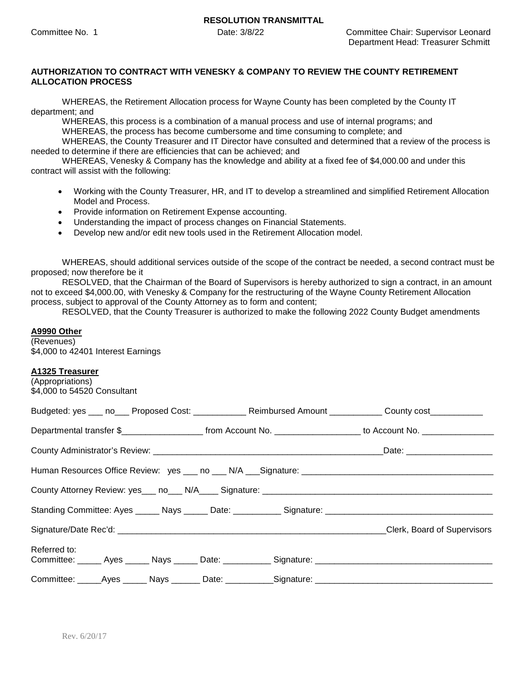## **AUTHORIZATION TO CONTRACT WITH VENESKY & COMPANY TO REVIEW THE COUNTY RETIREMENT ALLOCATION PROCESS**

WHEREAS, the Retirement Allocation process for Wayne County has been completed by the County IT department; and

WHEREAS, this process is a combination of a manual process and use of internal programs; and

WHEREAS, the process has become cumbersome and time consuming to complete; and

WHEREAS, the County Treasurer and IT Director have consulted and determined that a review of the process is needed to determine if there are efficiencies that can be achieved; and

WHEREAS, Venesky & Company has the knowledge and ability at a fixed fee of \$4,000.00 and under this contract will assist with the following:

- Working with the County Treasurer, HR, and IT to develop a streamlined and simplified Retirement Allocation Model and Process.
- Provide information on Retirement Expense accounting.
- Understanding the impact of process changes on Financial Statements.
- Develop new and/or edit new tools used in the Retirement Allocation model.

WHEREAS, should additional services outside of the scope of the contract be needed, a second contract must be proposed; now therefore be it

RESOLVED, that the Chairman of the Board of Supervisors is hereby authorized to sign a contract, in an amount not to exceed \$4,000.00, with Venesky & Company for the restructuring of the Wayne County Retirement Allocation process, subject to approval of the County Attorney as to form and content;

RESOLVED, that the County Treasurer is authorized to make the following 2022 County Budget amendments

## **A9990 Other**

(Revenues) \$4,000 to 42401 Interest Earnings

## **A1325 Treasurer**

| (Appropriations)<br>\$4,000 to 54520 Consultant |  |                                                                                                     |                                                                                                                                          |
|-------------------------------------------------|--|-----------------------------------------------------------------------------------------------------|------------------------------------------------------------------------------------------------------------------------------------------|
|                                                 |  |                                                                                                     | Budgeted: yes ___ no___ Proposed Cost: ___________ Reimbursed Amount __________ County cost__________                                    |
|                                                 |  |                                                                                                     | Departmental transfer \$________________________________from Account No. ____________________________ to Account No. ___________________ |
|                                                 |  |                                                                                                     |                                                                                                                                          |
|                                                 |  |                                                                                                     |                                                                                                                                          |
|                                                 |  |                                                                                                     |                                                                                                                                          |
|                                                 |  |                                                                                                     |                                                                                                                                          |
|                                                 |  |                                                                                                     |                                                                                                                                          |
| Referred to:                                    |  |                                                                                                     |                                                                                                                                          |
|                                                 |  |                                                                                                     |                                                                                                                                          |
|                                                 |  | Committee: _____Ayes ______ Nays _______ Date: ___________Signature: ______________________________ |                                                                                                                                          |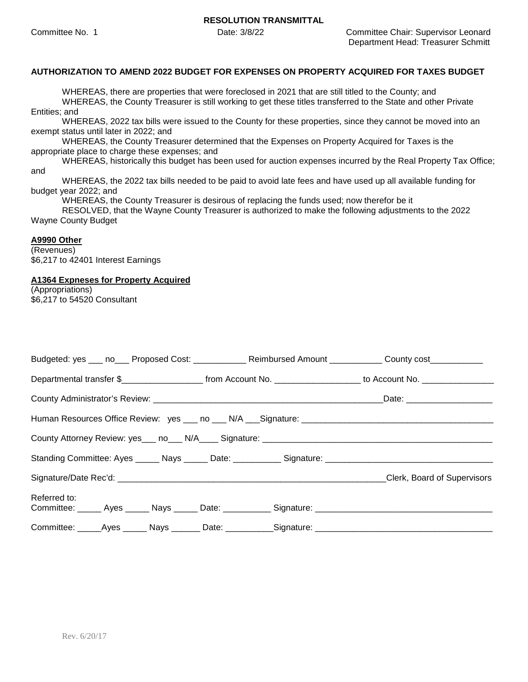## **AUTHORIZATION TO AMEND 2022 BUDGET FOR EXPENSES ON PROPERTY ACQUIRED FOR TAXES BUDGET**

WHEREAS, there are properties that were foreclosed in 2021 that are still titled to the County; and WHEREAS, the County Treasurer is still working to get these titles transferred to the State and other Private Entities; and

WHEREAS, 2022 tax bills were issued to the County for these properties, since they cannot be moved into an exempt status until later in 2022; and

WHEREAS, the County Treasurer determined that the Expenses on Property Acquired for Taxes is the appropriate place to charge these expenses; and

WHEREAS, historically this budget has been used for auction expenses incurred by the Real Property Tax Office; and

WHEREAS, the 2022 tax bills needed to be paid to avoid late fees and have used up all available funding for budget year 2022; and

WHEREAS, the County Treasurer is desirous of replacing the funds used; now therefor be it

RESOLVED, that the Wayne County Treasurer is authorized to make the following adjustments to the 2022 Wayne County Budget

### **A9990 Other**

(Revenues) \$6,217 to 42401 Interest Earnings

### **A1364 Expneses for Property Acquired**

(Appropriations) \$6,217 to 54520 Consultant

|                                                                                                                     | Budgeted: yes ___ no___ Proposed Cost: ______________ Reimbursed Amount __________ County cost __________ |
|---------------------------------------------------------------------------------------------------------------------|-----------------------------------------------------------------------------------------------------------|
|                                                                                                                     |                                                                                                           |
|                                                                                                                     |                                                                                                           |
|                                                                                                                     |                                                                                                           |
|                                                                                                                     |                                                                                                           |
|                                                                                                                     |                                                                                                           |
|                                                                                                                     | Clerk, Board of Supervisors                                                                               |
| Referred to:<br>Committee: ______ Ayes ______ Nays ______ Date: ___________ Signature: ____________________________ |                                                                                                           |
| Committee: _____Ayes ______ Nays _______ Date: ___________Signature: ______________________________                 |                                                                                                           |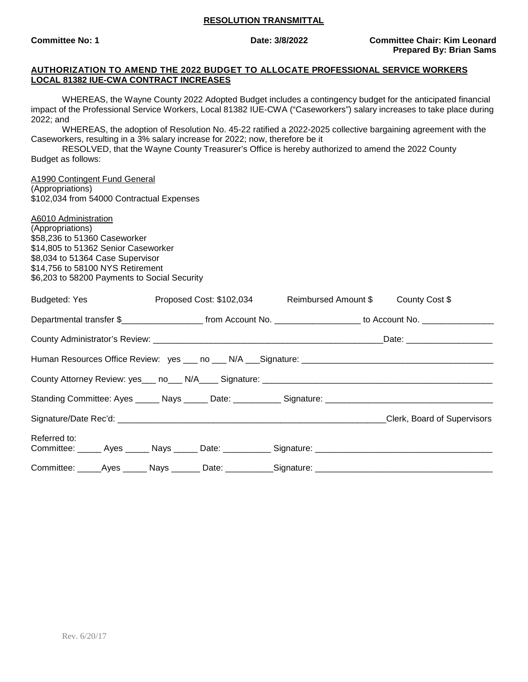#### **AUTHORIZATION TO AMEND THE 2022 BUDGET TO ALLOCATE PROFESSIONAL SERVICE WORKERS LOCAL 81382 IUE-CWA CONTRACT INCREASES**

WHEREAS, the Wayne County 2022 Adopted Budget includes a contingency budget for the anticipated financial impact of the Professional Service Workers, Local 81382 IUE-CWA ("Caseworkers") salary increases to take place during 2022; and

WHEREAS, the adoption of Resolution No. 45-22 ratified a 2022-2025 collective bargaining agreement with the Caseworkers, resulting in a 3% salary increase for 2022; now, therefore be it

RESOLVED, that the Wayne County Treasurer's Office is hereby authorized to amend the 2022 County Budget as follows:

### A1990 Contingent Fund General

(Appropriations) \$102,034 from 54000 Contractual Expenses

# A6010 Administration

(Appropriations) \$58,236 to 51360 Caseworker \$14,805 to 51362 Senior Caseworker \$8,034 to 51364 Case Supervisor \$14,756 to 58100 NYS Retirement \$6,203 to 58200 Payments to Social Security

| Budgeted: Yes <b>Example 20</b>                                                                                      | Proposed Cost: \$102,034 Reimbursed Amount \$ County Cost \$ |  |  |                                                                                                                       |                             |  |
|----------------------------------------------------------------------------------------------------------------------|--------------------------------------------------------------|--|--|-----------------------------------------------------------------------------------------------------------------------|-----------------------------|--|
|                                                                                                                      |                                                              |  |  | Departmental transfer \$________________________ from Account No. ____________________ to Account No. _______________ |                             |  |
|                                                                                                                      |                                                              |  |  |                                                                                                                       |                             |  |
|                                                                                                                      |                                                              |  |  |                                                                                                                       |                             |  |
|                                                                                                                      |                                                              |  |  |                                                                                                                       |                             |  |
|                                                                                                                      |                                                              |  |  |                                                                                                                       |                             |  |
|                                                                                                                      |                                                              |  |  |                                                                                                                       | Clerk, Board of Supervisors |  |
| Referred to:<br>Committee: ______ Ayes ______ Nays ______ Date: ___________ Signature: _____________________________ |                                                              |  |  |                                                                                                                       |                             |  |
| Committee: _____Ayes ______ Nays _______ Date: ___________Signature: ______________________________                  |                                                              |  |  |                                                                                                                       |                             |  |